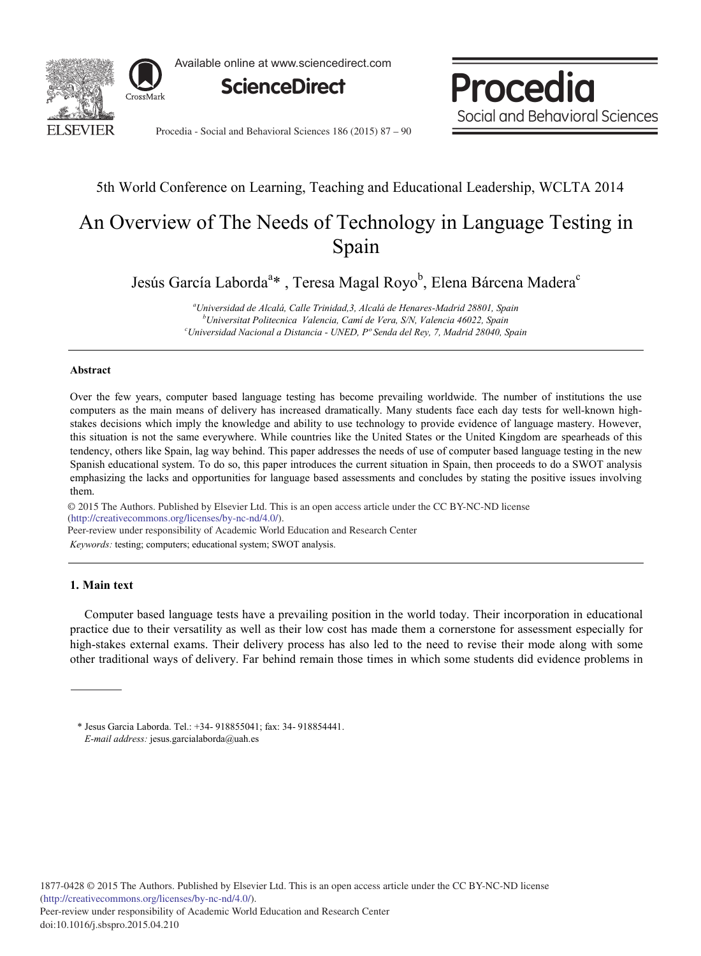

Available online at www.sciencedirect.com



Procedia Social and Behavioral Sciences

Procedia - Social and Behavioral Sciences 186 (2015) 87 – 90

# 5th World Conference on Learning, Teaching and Educational Leadership, WCLTA 2014

# An Overview of The Needs of Technology in Language Testing in Spain

Jesús García Laborda<sup>a</sup>\* , Teresa Magal Royo<sup>b</sup>, Elena Bárcena Madera<sup>c</sup>

*a Universidad de Alcalá, Calle Trinidad,3, Alcalá de Henares-Madrid 28801, Spain b Universitat Politecnica Valencia, Camí de Vera, S/N, Valencia 46022, Spain c Universidad Nacional a Distancia - UNED, Pº Senda del Rey, 7, Madrid 28040, Spain*

#### **Abstract**

Over the few years, computer based language testing has become prevailing worldwide. The number of institutions the use computers as the main means of delivery has increased dramatically. Many students face each day tests for well-known highstakes decisions which imply the knowledge and ability to use technology to provide evidence of language mastery. However, this situation is not the same everywhere. While countries like the United States or the United Kingdom are spearheads of this tendency, others like Spain, lag way behind. This paper addresses the needs of use of computer based language testing in the new Spanish educational system. To do so, this paper introduces the current situation in Spain, then proceeds to do a SWOT analysis emphasizing the lacks and opportunities for language based assessments and concludes by stating the positive issues involving them.

© 2015 The Authors. Published by Elsevier Ltd. © 2015 The Authors. Published by Elsevier Ltd. This is an open access article under the CC BY-NC-ND license (http://creativecommons.org/licenses/by-nc-nd/4.0/). Peer-review under responsibility of Academic World Education and Research Center

*Keywords:* testing; computers; educational system; SWOT analysis.

### **1. Main text**

Computer based language tests have a prevailing position in the world today. Their incorporation in educational practice due to their versatility as well as their low cost has made them a cornerstone for assessment especially for high-stakes external exams. Their delivery process has also led to the need to revise their mode along with some other traditional ways of delivery. Far behind remain those times in which some students did evidence problems in

<sup>\*</sup> Jesus Garcia Laborda. Tel.: +34- 918855041; fax: 34- 918854441. *E-mail address:* jesus.garcialaborda@uah.es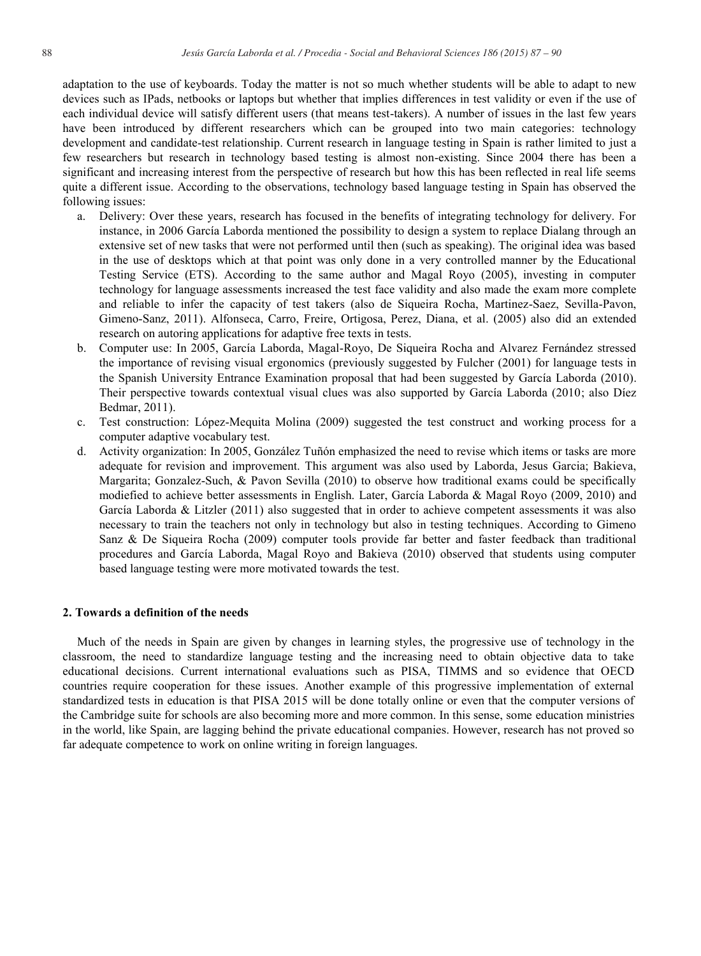adaptation to the use of keyboards. Today the matter is not so much whether students will be able to adapt to new devices such as IPads, netbooks or laptops but whether that implies differences in test validity or even if the use of each individual device will satisfy different users (that means test-takers). A number of issues in the last few years have been introduced by different researchers which can be grouped into two main categories: technology development and candidate-test relationship. Current research in language testing in Spain is rather limited to just a few researchers but research in technology based testing is almost non-existing. Since 2004 there has been a significant and increasing interest from the perspective of research but how this has been reflected in real life seems quite a different issue. According to the observations, technology based language testing in Spain has observed the following issues:

- a. Delivery: Over these years, research has focused in the benefits of integrating technology for delivery. For instance, in 2006 García Laborda mentioned the possibility to design a system to replace Dialang through an extensive set of new tasks that were not performed until then (such as speaking). The original idea was based in the use of desktops which at that point was only done in a very controlled manner by the Educational Testing Service (ETS). According to the same author and Magal Royo (2005), investing in computer technology for language assessments increased the test face validity and also made the exam more complete and reliable to infer the capacity of test takers (also de Siqueira Rocha, Martinez-Saez, Sevilla-Pavon, Gimeno-Sanz, 2011). Alfonseca, Carro, Freire, Ortigosa, Perez, Diana, et al. (2005) also did an extended research on autoring applications for adaptive free texts in tests.
- b. Computer use: In 2005, García Laborda, Magal-Royo, De Siqueira Rocha and Alvarez Fernández stressed the importance of revising visual ergonomics (previously suggested by Fulcher (2001) for language tests in the Spanish University Entrance Examination proposal that had been suggested by García Laborda (2010). Their perspective towards contextual visual clues was also supported by García Laborda (2010; also Díez Bedmar, 2011).
- c. Test construction: López-Mequita Molina (2009) suggested the test construct and working process for a computer adaptive vocabulary test.
- d. Activity organization: In 2005, González Tuñón emphasized the need to revise which items or tasks are more adequate for revision and improvement. This argument was also used by Laborda, Jesus Garcia; Bakieva, Margarita; Gonzalez-Such, & Pavon Sevilla (2010) to observe how traditional exams could be specifically modiefied to achieve better assessments in English. Later, García Laborda & Magal Royo (2009, 2010) and García Laborda & Litzler (2011) also suggested that in order to achieve competent assessments it was also necessary to train the teachers not only in technology but also in testing techniques. According to Gimeno Sanz & De Siqueira Rocha (2009) computer tools provide far better and faster feedback than traditional procedures and García Laborda, Magal Royo and Bakieva (2010) observed that students using computer based language testing were more motivated towards the test.

#### **2. Towards a definition of the needs**

Much of the needs in Spain are given by changes in learning styles, the progressive use of technology in the classroom, the need to standardize language testing and the increasing need to obtain objective data to take educational decisions. Current international evaluations such as PISA, TIMMS and so evidence that OECD countries require cooperation for these issues. Another example of this progressive implementation of external standardized tests in education is that PISA 2015 will be done totally online or even that the computer versions of the Cambridge suite for schools are also becoming more and more common. In this sense, some education ministries in the world, like Spain, are lagging behind the private educational companies. However, research has not proved so far adequate competence to work on online writing in foreign languages.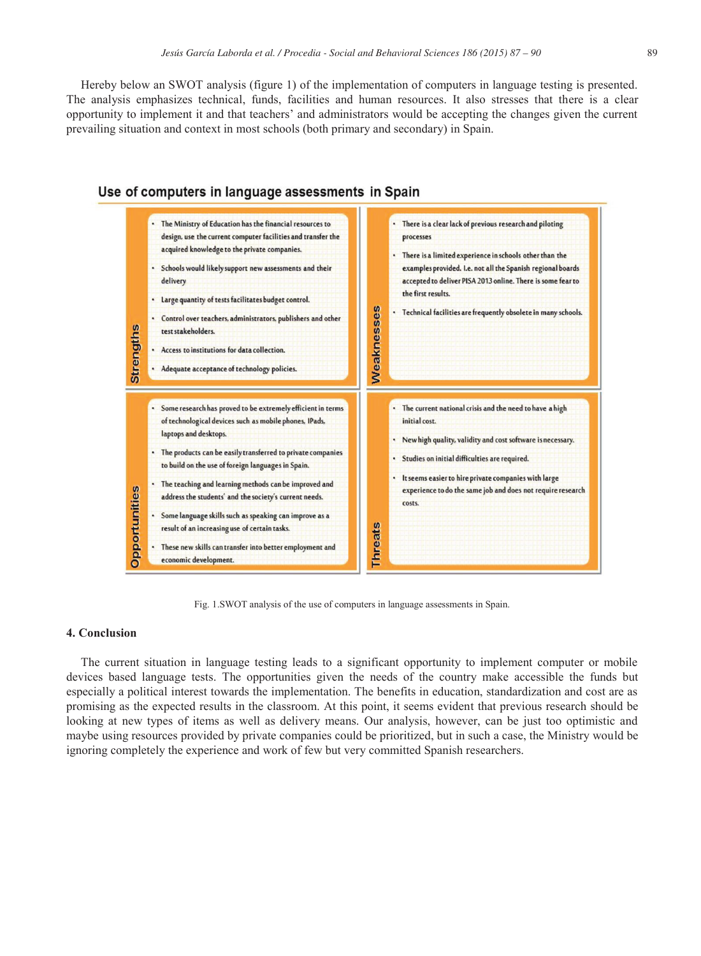Hereby below an SWOT analysis (figure 1) of the implementation of computers in language testing is presented. The analysis emphasizes technical, funds, facilities and human resources. It also stresses that there is a clear opportunity to implement it and that teachers' and administrators would be accepting the changes given the current prevailing situation and context in most schools (both primary and secondary) in Spain.



#### Use of computers in language assessments in Spain

Fig. 1.SWOT analysis of the use of computers in language assessments in Spain.

## **4. Conclusion**

The current situation in language testing leads to a significant opportunity to implement computer or mobile devices based language tests. The opportunities given the needs of the country make accessible the funds but especially a political interest towards the implementation. The benefits in education, standardization and cost are as promising as the expected results in the classroom. At this point, it seems evident that previous research should be looking at new types of items as well as delivery means. Our analysis, however, can be just too optimistic and maybe using resources provided by private companies could be prioritized, but in such a case, the Ministry would be ignoring completely the experience and work of few but very committed Spanish researchers.